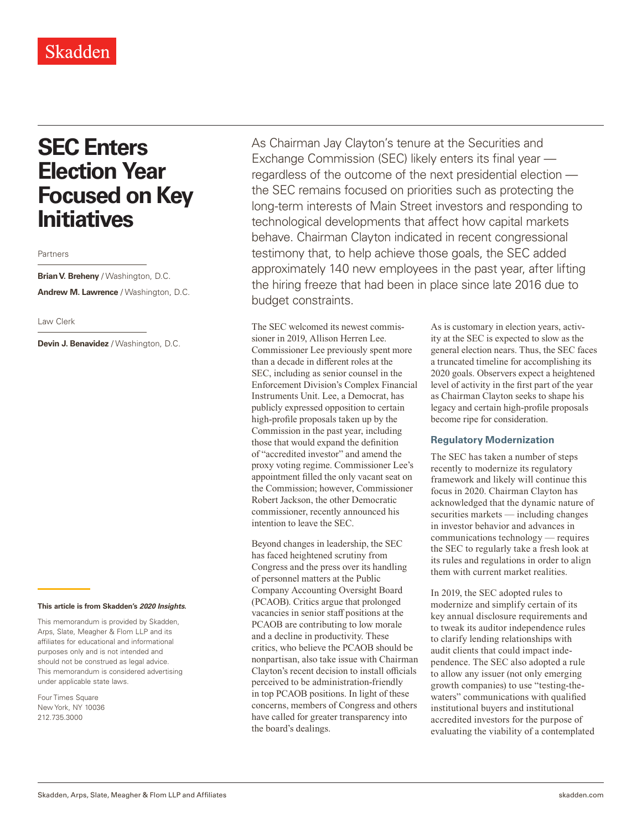# **SEC Enters Election Year Focused on Key Initiatives**

Partners

# **Brian V. Breheny** / Washington, D.C. **Andrew M. Lawrence** / Washington, D.C.

#### Law Clerk

**Devin J. Benavidez** / Washington, D.C.

#### **This article is from Skadden's** *202[0 Insights](https://www.skadden.com/insights/publications/2020/01/2020-insights/2020-insights)***.**

This memorandum is provided by Skadden, Arps, Slate, Meagher & Flom LLP and its affiliates for educational and informational purposes only and is not intended and should not be construed as legal advice. This memorandum is considered advertising under applicable state laws.

Four Times Square New York, NY 10036 212.735.3000

As Chairman Jay Clayton's tenure at the Securities and Exchange Commission (SEC) likely enters its final year regardless of the outcome of the next presidential election the SEC remains focused on priorities such as protecting the long-term interests of Main Street investors and responding to technological developments that affect how capital markets behave. Chairman Clayton indicated in recent congressional testimony that, to help achieve those goals, the SEC added approximately 140 new employees in the past year, after lifting the hiring freeze that had been in place since late 2016 due to budget constraints.

The SEC welcomed its newest commissioner in 2019, Allison Herren Lee. Commissioner Lee previously spent more than a decade in different roles at the SEC, including as senior counsel in the Enforcement Division's Complex Financial Instruments Unit. Lee, a Democrat, has publicly expressed opposition to certain high-profile proposals taken up by the Commission in the past year, including those that would expand the definition of "accredited investor" and amend the proxy voting regime. Commissioner Lee's appointment filled the only vacant seat on the Commission; however, Commissioner Robert Jackson, the other Democratic commissioner, recently announced his intention to leave the SEC.

Beyond changes in leadership, the SEC has faced heightened scrutiny from Congress and the press over its handling of personnel matters at the Public Company Accounting Oversight Board (PCAOB). Critics argue that prolonged vacancies in senior staff positions at the PCAOB are contributing to low morale and a decline in productivity. These critics, who believe the PCAOB should be nonpartisan, also take issue with Chairman Clayton's recent decision to install officials perceived to be administration-friendly in top PCAOB positions. In light of these concerns, members of Congress and others have called for greater transparency into the board's dealings.

As is customary in election years, activity at the SEC is expected to slow as the general election nears. Thus, the SEC faces a truncated timeline for accomplishing its 2020 goals. Observers expect a heightened level of activity in the first part of the year as Chairman Clayton seeks to shape his legacy and certain high-profile proposals become ripe for consideration.

# **Regulatory Modernization**

The SEC has taken a number of steps recently to modernize its regulatory framework and likely will continue this focus in 2020. Chairman Clayton has acknowledged that the dynamic nature of securities markets — including changes in investor behavior and advances in communications technology — requires the SEC to regularly take a fresh look at its rules and regulations in order to align them with current market realities.

In 2019, the SEC adopted rules to modernize and simplify certain of its key annual disclosure requirements and to tweak its auditor independence rules to clarify lending relationships with audit clients that could impact independence. The SEC also adopted a rule to allow any issuer (not only emerging growth companies) to use "testing-thewaters" communications with qualified institutional buyers and institutional accredited investors for the purpose of evaluating the viability of a contemplated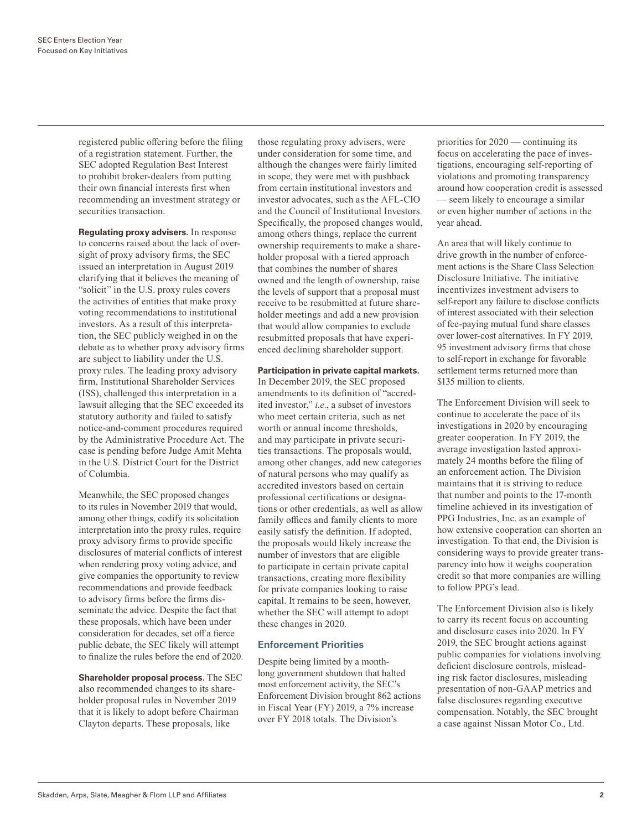registered public offering before the filing of a registration statement. Further, the SEC adopted Regulation Best Interest to prohibit broker-dealers from putting their own financial interests first when recommending an investment strategy or securities transaction.

**Regulating proxy advisers.** In response to concerns raised about the lack of oversight of proxy advisory firms, the SEC issued an interpretation in August 2019 clarifying that it believes the meaning of "solicit" in the U.S. proxy rules covers the activities of entities that make proxy voting recommendations to institutional investors. As a result of this interpretation, the SEC publicly weighed in on the debate as to whether proxy advisory firms are subject to liability under the U.S. proxy rules. The leading proxy advisory firm, Institutional Shareholder Services (ISS), challenged this interpretation in a lawsuit alleging that the SEC exceeded its statutory authority and failed to satisfy notice-and-comment procedures required by the Administrative Procedure Act. The case is pending before Judge Amit Mehta in the U.S. District Court for the District of Columbia.

Meanwhile, the SEC proposed changes to its rules in November 2019 that would, among other things, codify its solicitation interpretation into the proxy rules, require proxy advisory firms to provide specific disclosures of material conflicts of interest when rendering proxy voting advice, and give companies the opportunity to review recommendations and provide feedback to advisory firms before the firms disseminate the advice. Despite the fact that these proposals, which have been under consideration for decades, set off a fierce public debate, the SEC likely will attempt to finalize the rules before the end of 2020.

**Shareholder proposal process.** The SEC also recommended changes to its shareholder proposal rules in November 2019 that it is likely to adopt before Chairman Clayton departs. These proposals, like

those regulating proxy advisers, were under consideration for some time, and although the changes were fairly limited in scope, they were met with pushback from certain institutional investors and investor advocates, such as the AFL-CIO and the Council of Institutional Investors. Specifically, the proposed changes would, among others things, replace the current ownership requirements to make a shareholder proposal with a tiered approach that combines the number of shares owned and the length of ownership, raise the levels of support that a proposal must receive to be resubmitted at future shareholder meetings and add a new provision that would allow companies to exclude resubmitted proposals that have experienced declining shareholder support.

### **Participation in private capital markets.**

In December 2019, the SEC proposed amendments to its definition of "accredited investor," *i.e.*, a subset of investors who meet certain criteria, such as net worth or annual income thresholds, and may participate in private securities transactions. The proposals would, among other changes, add new categories of natural persons who may qualify as accredited investors based on certain professional certifications or designations or other credentials, as well as allow family offices and family clients to more easily satisfy the definition. If adopted, the proposals would likely increase the number of investors that are eligible to participate in certain private capital transactions, creating more flexibility for private companies looking to raise capital. It remains to be seen, however, whether the SEC will attempt to adopt these changes in 2020.

# **Enforcement Priorities**

Despite being limited by a monthlong government shutdown that halted most enforcement activity, the SEC's Enforcement Division brought 862 actions in Fiscal Year (FY) 2019, a 7% increase over FY 2018 totals. The Division's

priorities for 2020 — continuing its focus on accelerating the pace of investigations, encouraging self-reporting of violations and promoting transparency around how cooperation credit is assessed — seem likely to encourage a similar or even higher number of actions in the year ahead.

An area that will likely continue to drive growth in the number of enforcement actions is the Share Class Selection Disclosure Initiative. The initiative incentivizes investment advisers to self-report any failure to disclose conflicts of interest associated with their selection of fee-paying mutual fund share classes over lower-cost alternatives. In FY 2019, 95 investment advisory firms that chose to self-report in exchange for favorable settlement terms returned more than \$135 million to clients.

The Enforcement Division will seek to continue to accelerate the pace of its investigations in 2020 by encouraging greater cooperation. In FY 2019, the average investigation lasted approximately 24 months before the filing of an enforcement action. The Division maintains that it is striving to reduce that number and points to the 17-month timeline achieved in its investigation of PPG Industries, Inc. as an example of how extensive cooperation can shorten an investigation. To that end, the Division is considering ways to provide greater transparency into how it weighs cooperation credit so that more companies are willing to follow PPG's lead.

The Enforcement Division also is likely to carry its recent focus on accounting and disclosure cases into 2020. In FY 2019, the SEC brought actions against public companies for violations involving deficient disclosure controls, misleading risk factor disclosures, misleading presentation of non-GAAP metrics and false disclosures regarding executive compensation. Notably, the SEC brought a case against Nissan Motor Co., Ltd.